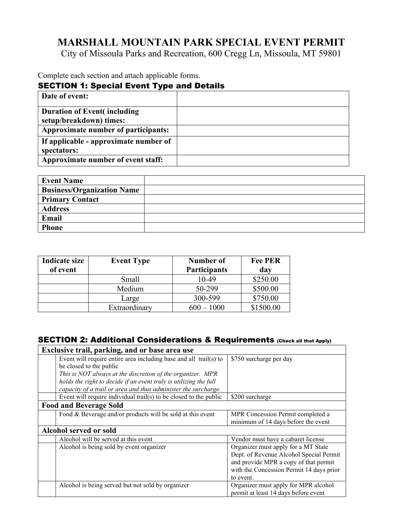# **MARSHALL MOUNTAIN PARK SPECIAL EVENT PERMIT**

City of Missoula Parks and Recreation, 600 Cregg Ln, Missoula, MT 59801

Complete each section and attach applicable forms.

### SECTION 1: Special Event Type and Details

| Date of event:                                                  |  |
|-----------------------------------------------------------------|--|
| <b>Duration of Event (including)</b><br>setup/breakdown) times: |  |
| Approximate number of participants:                             |  |
| If applicable - approximate number of<br>spectators:            |  |
| Approximate number of event staff:                              |  |

| <b>Event Name</b>                 |  |
|-----------------------------------|--|
| <b>Business/Organization Name</b> |  |
| <b>Primary Contact</b>            |  |
| <b>Address</b>                    |  |
| Email                             |  |
| <b>Phone</b>                      |  |

| <b>Indicate size</b><br>of event | <b>Event Type</b> | Number of<br><b>Participants</b> | <b>Fee PER</b><br>day |
|----------------------------------|-------------------|----------------------------------|-----------------------|
|                                  | Small             | 10-49                            | \$250.00              |
|                                  | Medium            | 50-299                           | \$500.00              |
|                                  | Large             | 300-599                          | \$750.00              |
|                                  | Extraordinary     | $600 - 1000$                     | \$1500.00             |

### SECTION 2: Additional Considerations & Requirements (Check all that Apply)

| Exclusive trail, parking, and or base area use                        |                                          |
|-----------------------------------------------------------------------|------------------------------------------|
| Event will require entire area including base and all trail(s) to     | \$750 surcharge per day                  |
| be closed to the public                                               |                                          |
| This is NOT always at the discretion of the organizer. MPR            |                                          |
| holds the right to decide if an event truly is utilizing the full     |                                          |
| capacity of a trail or area and thus administer the surcharge.        |                                          |
| Event will require individual trail( $s$ ) to be closed to the public | \$200 surcharge                          |
| <b>Food and Beverage Sold</b>                                         |                                          |
| Food & Beverage and/or products will be sold at this event            | MPR Concession Permit completed a        |
|                                                                       | minimum of 14 days before the event      |
| Alcohol served or sold                                                |                                          |
| Alcohol will be served at this event                                  | Vendor must have a cabaret license       |
| Alcohol is being sold by event organizer                              | Organizer must apply for a MT State      |
|                                                                       | Dept. of Revenue Alcohol Special Permit  |
|                                                                       | and provide MPR a copy of that permit    |
|                                                                       | with the Concession Permit 14 days prior |
|                                                                       | to event.                                |
| Alcohol is being served but not sold by organizer                     | Organizer must apply for MPR alcohol     |
|                                                                       | permit at least 14 days before event     |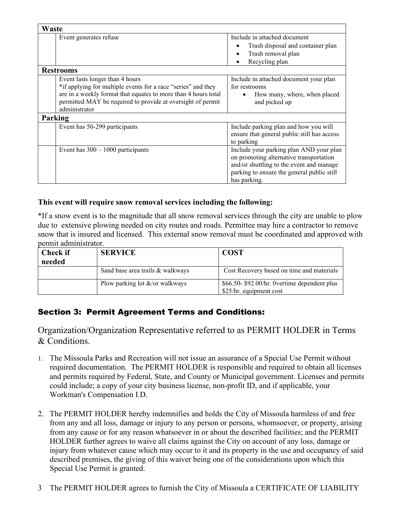| Waste                                                                                                                                                                                                                                              |                                                                                                                                                                                              |
|----------------------------------------------------------------------------------------------------------------------------------------------------------------------------------------------------------------------------------------------------|----------------------------------------------------------------------------------------------------------------------------------------------------------------------------------------------|
| Event generates refuse                                                                                                                                                                                                                             | Include in attached document<br>Trash disposal and container plan<br>Trash removal plan<br>Recycling plan                                                                                    |
| <b>Restrooms</b>                                                                                                                                                                                                                                   |                                                                                                                                                                                              |
| Event lasts longer than 4 hours<br>*if applying for multiple events for a race "series" and they<br>are in a weekly format that equates to more than 4 hours total<br>permitted MAY be required to provide at oversight of permit<br>administrator | Include in attached document your plan<br>for restrooms<br>How many, where, when placed<br>and picked up                                                                                     |
| Parking                                                                                                                                                                                                                                            |                                                                                                                                                                                              |
| Event has 50-299 participants                                                                                                                                                                                                                      | Include parking plan and how you will<br>ensure that general public still has access<br>to parking                                                                                           |
| Event has $300 - 1000$ participants                                                                                                                                                                                                                | Include your parking plan AND your plan<br>on promoting alternative transportation<br>and/or shuttling to the event and manage<br>parking to ensure the general public still<br>has parking. |

### **This event will require snow removal services including the following:**

\*If a snow event is to the magnitude that all snow removal services through the city are unable to plow due to extensive plowing needed on city routes and roads. Permittee may hire a contractor to remove snow that is insured and licensed. This external snow removal must be coordinated and approved with permit administrator.

| Check if<br>needed | <b>SERVICE</b>                   | <b>COST</b>                                                             |
|--------------------|----------------------------------|-------------------------------------------------------------------------|
|                    | Sand base area trails & walkways | Cost Recovery based on time and materials                               |
|                    | Plow parking lot &/or walkways   | \$66.50-\$92.00/hr. 0 vertime dependent plus<br>\$25/hr. equipment cost |

# Section 3: Permit Agreement Terms and Conditions:

Organization/Organization Representative referred to as PERMIT HOLDER in Terms & Conditions.

- 1. The Missoula Parks and Recreation will not issue an assurance of a Special Use Permit without required documentation. The PERMIT HOLDER is responsible and required to obtain all licenses and permits required by Federal, State, and County or Municipal government. Licenses and permits could include; a copy of your city business license, non-profit ID, and if applicable, your Workman's Compensation I.D.
- 2. The PERMIT HOLDER hereby indemnifies and holds the City of Missoula harmless of and free from any and all loss, damage or injury to any person or persons, whomsoever, or property, arising from any cause or for any reason whatsoever in or about the described facilities; and the PERMIT HOLDER further agrees to waive all claims against the City on account of any loss, damage or injury from whatever cause which may occur to it and its property in the use and occupancy of said described premises, the giving of this waiver being one of the considerations upon which this Special Use Permit is granted.
- 3 The PERMIT HOLDER agrees to furnish the City of Missoula a CERTIFICATE OF LIABILITY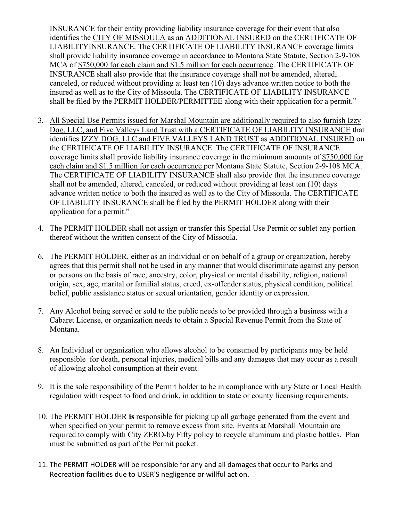INSURANCE for their entity providing liability insurance coverage for their event that also identifies the CITY OF MISSOULA as an ADDITIONAL INSURED on the CERTIFICATE OF LIABILITYINSURANCE. The CERTIFICATE OF LIABILITY INSURANCE coverage limits shall provide liability insurance coverage in accordance to Montana State Statute, Section 2-9-108 MCA of \$750,000 for each claim and \$1.5 million for each occurrence. The CERTIFICATE OF INSURANCE shall also provide that the insurance coverage shall not be amended, altered, canceled, or reduced without providing at least ten (10) days advance written notice to both the insured as well as to the City of Missoula. The CERTIFICATE OF LIABILITY INSURANCE shall be filed by the PERMIT HOLDER/PERMITTEE along with their application for a permit."

- 3. All Special Use Permits issued for Marshal Mountain are additionally required to also furnish Izzy Dog, LLC, and Five Valleys Land Trust with a CERTIFICATE OF LIABILITY INSURANCE that identifies IZZY DOG, LLC and FIVE VALLEYS LAND TRUST as ADDITIONAL INSURED on the CERTIFICATE OF LIABILITY INSURANCE. The CERTIFICATE OF INSURANCE coverage limits shall provide liability insurance coverage in the minimum amounts of \$750,000 for each claim and \$1.5 million for each occurrence per Montana State Statute, Section 2-9-108 MCA. The CERTIFICATE OF LIABILITY INSURANCE shall also provide that the insurance coverage shall not be amended, altered, canceled, or reduced without providing at least ten (10) days advance written notice to both the insured as well as to the City of Missoula. The CERTIFICATE OF LIABILITY INSURANCE shall be filed by the PERMIT HOLDER along with their application for a permit."
- 4. The PERMIT HOLDER shall not assign or transfer this Special Use Permit or sublet any portion thereof without the written consent of the City of Missoula.
- 6. The PERMIT HOLDER, either as an individual or on behalf of a group or organization, hereby agrees that this permit shall not be used in any manner that would discriminate against any person or persons on the basis of race, ancestry, color, physical or mental disability, religion, national origin, sex, age, marital or familial status, creed, ex-offender status, physical condition, political belief, public assistance status or sexual orientation, gender identity or expression.
- 7. Any Alcohol being served or sold to the public needs to be provided through a business with a Cabaret License, or organization needs to obtain a Special Revenue Permit from the State of Montana.
- 8. An Individual or organization who allows alcohol to be consumed by participants may be held responsible for death, personal injuries, medical bills and any damages that may occur as a result of allowing alcohol consumption at their event.
- 9. It is the sole responsibility of the Permit holder to be in compliance with any State or Local Health regulation with respect to food and drink, in addition to state or county licensing requirements.
- 10. The PERMIT HOLDER **is** responsible for picking up all garbage generated from the event and when specified on your permit to remove excess from site. Events at Marshall Mountain are required to comply with City ZERO-by Fifty policy to recycle aluminum and plastic bottles. Plan must be submitted as part of the Permit packet.
- 11. The PERMIT HOLDER will be responsible for any and all damages that occur to Parks and Recreation facilities due to USER'S negligence or willful action.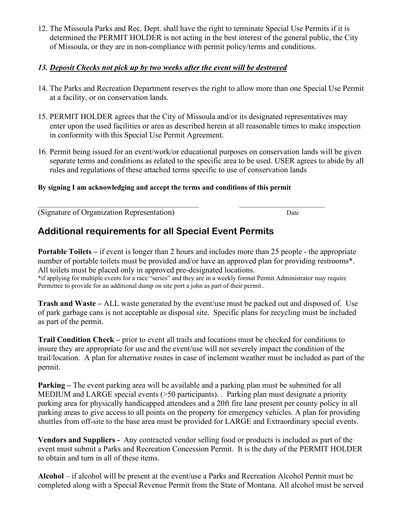12. The Missoula Parks and Rec. Dept. shall have the right to terminate Special Use Permits if it is determined the PERMIT HOLDER is not acting in the best interest of the general public, the City of Missoula, or they are in non-compliance with permit policy/terms and conditions.

### *13. Deposit Checks not pick up by two weeks after the event will be destroyed*

- 14. The Parks and Recreation Department reserves the right to allow more than one Special Use Permit at a facility, or on conservation lands.
- 15. PERMIT HOLDER agrees that the City of Missoula and/or its designated representatives may enter upon the used facilities or area as described herein at all reasonable times to make inspection in conformity with this Special Use Permit Agreement.
- 16. Permit being issued for an event/work/or educational purposes on conservation lands will be given separate terms and conditions as related to the specific area to be used. USER agrees to abide by all rules and regulations of these attached terms specific to use of conservation lands

#### **By signing I am acknowledging and accept the terms and conditions of this permit**

 $\mathcal{L}_\mathcal{L} = \{ \mathcal{L}_\mathcal{L} = \{ \mathcal{L}_\mathcal{L} = \{ \mathcal{L}_\mathcal{L} = \{ \mathcal{L}_\mathcal{L} = \{ \mathcal{L}_\mathcal{L} = \{ \mathcal{L}_\mathcal{L} = \{ \mathcal{L}_\mathcal{L} = \{ \mathcal{L}_\mathcal{L} = \{ \mathcal{L}_\mathcal{L} = \{ \mathcal{L}_\mathcal{L} = \{ \mathcal{L}_\mathcal{L} = \{ \mathcal{L}_\mathcal{L} = \{ \mathcal{L}_\mathcal{L} = \{ \mathcal{L}_\mathcal{$ 

(Signature of Organization Representation) Date

# **Additional requirements for all Special Event Permits**

**Portable Toilets – if event is longer than 2 hours and includes more than 25 people - the appropriate** number of portable toilets must be provided and/or have an approved plan for providing restrooms<sup>\*</sup>. All toilets must be placed only in approved pre-designated locations. \*if applying for multiple events for a race "series" and they are in a weekly format Permit Administrator may require Permittee to provide for an additional dump on site port a john as part of their permit..

**Trash and Waste –** ALL waste generated by the event/use must be packed out and disposed of. Use of park garbage cans is not acceptable as disposal site. Specific plans for recycling must be included as part of the permit.

**Trail Condition Check –** prior to event all trails and locations must be checked for conditions to insure they are appropriate for use and the event/use will not severely impact the condition of the trail/location. A plan for alternative routes in case of inclement weather must be included as part of the permit.

**Parking –** The event parking area will be available and a parking plan must be submitted for all MEDIUM and LARGE special events (>50 participants). . Parking plan must designate a priority parking area for physically handicapped attendees and a 20ft fire lane present per county policy in all parking areas to give access to all points on the property for emergency vehicles. A plan for providing shuttles from off-site to the base area must be provided for LARGE and Extraordinary special events.

**Vendors and Suppliers -** Any contracted vendor selling food or products is included as part of the event must submit a Parks and Recreation Concession Permit. It is the duty of the PERMIT HOLDER to obtain and turn in all of these items.

**Alcohol** – if alcohol will be present at the event/use a Parks and Recreation Alcohol Permit must be completed along with a Special Revenue Permit from the State of Montana. All alcohol must be served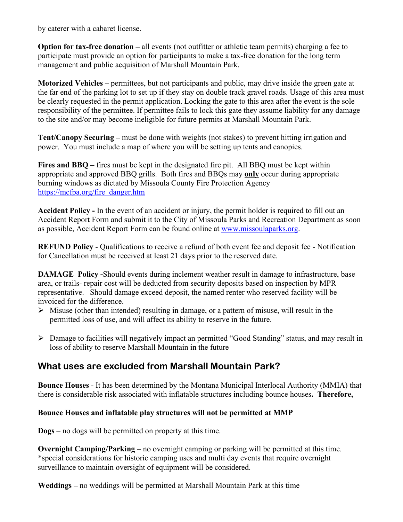by caterer with a cabaret license.

**Option for tax-free donation** – all events (not outfitter or athletic team permits) charging a fee to participate must provide an option for participants to make a tax-free donation for the long term management and public acquisition of Marshall Mountain Park.

**Motorized Vehicles –** permittees, but not participants and public, may drive inside the green gate at the far end of the parking lot to set up if they stay on double track gravel roads. Usage of this area must be clearly requested in the permit application. Locking the gate to this area after the event is the sole responsibility of the permittee. If permittee fails to lock this gate they assume liability for any damage to the site and/or may become ineligible for future permits at Marshall Mountain Park.

**Tent/Canopy Securing –** must be done with weights (not stakes) to prevent hitting irrigation and power. You must include a map of where you will be setting up tents and canopies.

**Fires and BBQ –** fires must be kept in the designated fire pit. All BBQ must be kept within appropriate and approved BBQ grills. Both fires and BBQs may **only** occur during appropriate burning windows as dictated by Missoula County Fire Protection Agency [https://mcfpa.org/fire\\_danger.htm](https://mcfpa.org/fire_danger.htm)

**Accident Policy -** In the event of an accident or injury, the permit holder is required to fill out an Accident Report Form and submit it to the City of Missoula Parks and Recreation Department as soon as possible, Accident Report Form can be found online at [www.missoulaparks.org.](http://www.missoulaparks.org/)

**REFUND Policy** - Qualifications to receive a refund of both event fee and deposit fee - Notification for Cancellation must be received at least 21 days prior to the reserved date.

**DAMAGE Policy -**Should events during inclement weather result in damage to infrastructure, base area, or trails- repair cost will be deducted from security deposits based on inspection by MPR representative. Should damage exceed deposit, the named renter who reserved facility will be invoiced for the difference.

- $\triangleright$  Misuse (other than intended) resulting in damage, or a pattern of misuse, will result in the permitted loss of use, and will affect its ability to reserve in the future.
- Damage to facilities will negatively impact an permitted "Good Standing" status, and may result in loss of ability to reserve Marshall Mountain in the future

# **What uses are excluded from Marshall Mountain Park?**

**Bounce Houses** - It has been determined by the Montana Municipal Interlocal Authority (MMIA) that there is considerable risk associated with inflatable structures including bounce houses**. Therefore,** 

#### **Bounce Houses and inflatable play structures will not be permitted at MMP**

**Dogs** – no dogs will be permitted on property at this time.

**Overnight Camping/Parking** – no overnight camping or parking will be permitted at this time. \*special considerations for historic camping uses and multi day events that require overnight surveillance to maintain oversight of equipment will be considered.

**Weddings –** no weddings will be permitted at Marshall Mountain Park at this time